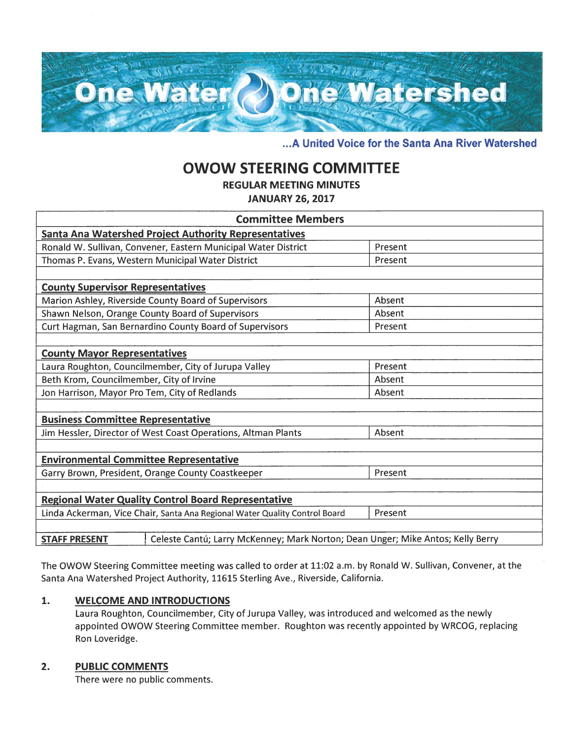

... A United Voice for the Santa Ana River Watershed

# **OWOW STEERING COMMITTEE**

**REGULAR MEETING MINUTES** 

**JANUARY 26, 2017** 

| <b>Committee Members</b>                                                   |                                                                                 |         |  |
|----------------------------------------------------------------------------|---------------------------------------------------------------------------------|---------|--|
| Santa Ana Watershed Project Authority Representatives                      |                                                                                 |         |  |
| Ronald W. Sullivan, Convener, Eastern Municipal Water District             |                                                                                 | Present |  |
| Thomas P. Evans, Western Municipal Water District                          |                                                                                 | Present |  |
|                                                                            |                                                                                 |         |  |
| <b>County Supervisor Representatives</b>                                   |                                                                                 |         |  |
| Marion Ashley, Riverside County Board of Supervisors                       |                                                                                 | Absent  |  |
| Shawn Nelson, Orange County Board of Supervisors                           |                                                                                 | Absent  |  |
| Curt Hagman, San Bernardino County Board of Supervisors                    |                                                                                 | Present |  |
|                                                                            |                                                                                 |         |  |
| <b>County Mayor Representatives</b>                                        |                                                                                 |         |  |
| Laura Roughton, Councilmember, City of Jurupa Valley                       |                                                                                 | Present |  |
| Beth Krom, Councilmember, City of Irvine                                   |                                                                                 | Absent  |  |
| Jon Harrison, Mayor Pro Tem, City of Redlands                              |                                                                                 | Absent  |  |
|                                                                            |                                                                                 |         |  |
| <b>Business Committee Representative</b>                                   |                                                                                 |         |  |
| Jim Hessler, Director of West Coast Operations, Altman Plants              |                                                                                 | Absent  |  |
|                                                                            |                                                                                 |         |  |
| <b>Environmental Committee Representative</b>                              |                                                                                 |         |  |
| Garry Brown, President, Orange County Coastkeeper                          |                                                                                 | Present |  |
|                                                                            |                                                                                 |         |  |
| <b>Regional Water Quality Control Board Representative</b>                 |                                                                                 |         |  |
| Linda Ackerman, Vice Chair, Santa Ana Regional Water Quality Control Board |                                                                                 | Present |  |
|                                                                            |                                                                                 |         |  |
| <b>STAFF PRESENT</b>                                                       | Celeste Cantú; Larry McKenney; Mark Norton; Dean Unger; Mike Antos; Kelly Berry |         |  |

The OWOW Steering Committee meeting was called to order at 11:02 a.m. by Ronald W. Sullivan, Convener, at the Santa Ana Watershed Project Authority, 11615 Sterling Ave., Riverside, California.

#### $1.$ **WELCOME AND INTRODUCTIONS**

Laura Roughton, Councilmember, City of Jurupa Valley, was introduced and welcomed as the newly appointed OWOW Steering Committee member. Roughton was recently appointed by WRCOG, replacing Ron Loveridge.

#### $2.$ **PUBLIC COMMENTS**

There were no public comments.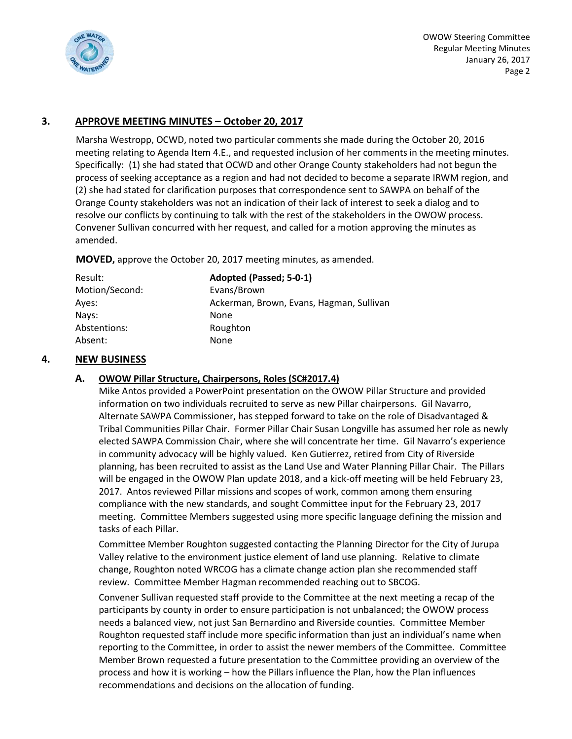

# **3. APPROVE MEETING MINUTES – October 20, 2017**

Marsha Westropp, OCWD, noted two particular comments she made during the October 20, 2016 meeting relating to Agenda Item 4.E., and requested inclusion of her comments in the meeting minutes. Specifically: (1) she had stated that OCWD and other Orange County stakeholders had not begun the process of seeking acceptance as a region and had not decided to become a separate IRWM region, and (2) she had stated for clarification purposes that correspondence sent to SAWPA on behalf of the Orange County stakeholders was not an indication of their lack of interest to seek a dialog and to resolve our conflicts by continuing to talk with the rest of the stakeholders in the OWOW process. Convener Sullivan concurred with her request, and called for a motion approving the minutes as amended.

**MOVED,** approve the October 20, 2017 meeting minutes, as amended.

| Result:        | Adopted (Passed; 5-0-1)                  |
|----------------|------------------------------------------|
| Motion/Second: | Evans/Brown                              |
| Aves:          | Ackerman, Brown, Evans, Hagman, Sullivan |
| Navs:          | None                                     |
| Abstentions:   | Roughton                                 |
| Absent:        | None                                     |
|                |                                          |

# **4. NEW BUSINESS**

## **A. OWOW Pillar Structure, Chairpersons, Roles (SC#2017.4)**

Mike Antos provided a PowerPoint presentation on the OWOW Pillar Structure and provided information on two individuals recruited to serve as new Pillar chairpersons. Gil Navarro, Alternate SAWPA Commissioner, has stepped forward to take on the role of Disadvantaged & Tribal Communities Pillar Chair. Former Pillar Chair Susan Longville has assumed her role as newly elected SAWPA Commission Chair, where she will concentrate her time. Gil Navarro's experience in community advocacy will be highly valued. Ken Gutierrez, retired from City of Riverside planning, has been recruited to assist as the Land Use and Water Planning Pillar Chair. The Pillars will be engaged in the OWOW Plan update 2018, and a kick-off meeting will be held February 23, 2017. Antos reviewed Pillar missions and scopes of work, common among them ensuring compliance with the new standards, and sought Committee input for the February 23, 2017 meeting. Committee Members suggested using more specific language defining the mission and tasks of each Pillar.

Committee Member Roughton suggested contacting the Planning Director for the City of Jurupa Valley relative to the environment justice element of land use planning. Relative to climate change, Roughton noted WRCOG has a climate change action plan she recommended staff review. Committee Member Hagman recommended reaching out to SBCOG.

Convener Sullivan requested staff provide to the Committee at the next meeting a recap of the participants by county in order to ensure participation is not unbalanced; the OWOW process needs a balanced view, not just San Bernardino and Riverside counties. Committee Member Roughton requested staff include more specific information than just an individual's name when reporting to the Committee, in order to assist the newer members of the Committee. Committee Member Brown requested a future presentation to the Committee providing an overview of the process and how it is working – how the Pillars influence the Plan, how the Plan influences recommendations and decisions on the allocation of funding.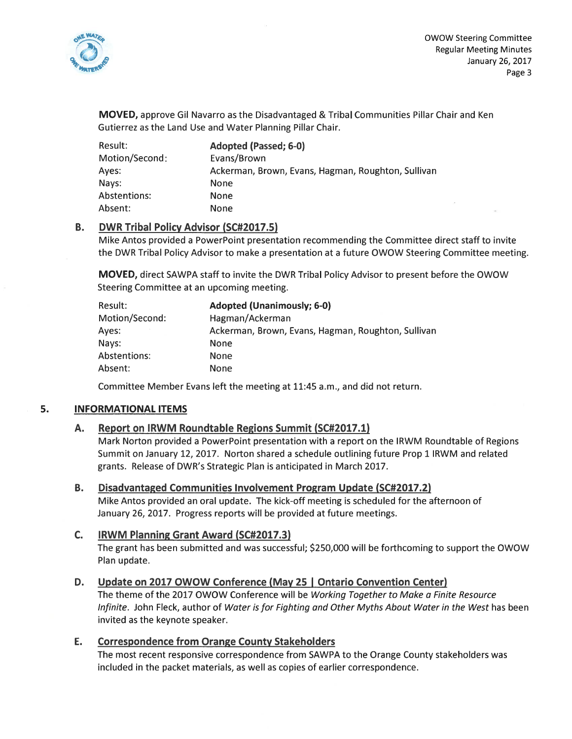

 $\mathcal{F}$ 

**MOVED**, approve Gil Navarro as the Disadvantaged & Tribal Communities Pillar Chair and Ken Gutierrez as the Land Use and Water Planning Pillar Chair.

| Result:        | Adopted (Passed; 6-0)                              |
|----------------|----------------------------------------------------|
| Motion/Second: | Evans/Brown                                        |
| Ayes:          | Ackerman, Brown, Evans, Hagman, Roughton, Sullivan |
| Nays:          | None                                               |
| Abstentions:   | <b>None</b>                                        |
| Absent:        | None                                               |

### **B. DWR Tribal Policy Advisor (SC#2017.5)**

Mike Antos provided a PowerPoint presentation recommending the Committee direct staff to invite the DWR Tribal Policy Advisor to make a presentation at a future OWOW Steering Committee meeting.

MOVED, direct SAWPA staff to invite the DWR Tribal Policy Advisor to present before the OWOW Steering Committee at an upcoming meeting.

| Result:        | <b>Adopted (Unanimously; 6-0)</b>                  |
|----------------|----------------------------------------------------|
| Motion/Second: | Hagman/Ackerman                                    |
| Ayes:          | Ackerman, Brown, Evans, Hagman, Roughton, Sullivan |
| Nays:          | None                                               |
| Abstentions:   | <b>None</b>                                        |
| Absent:        | <b>None</b>                                        |

Committee Member Evans left the meeting at 11:45 a.m., and did not return.

#### 5. **INFORMATIONAL ITEMS**

#### Report on IRWM Roundtable Regions Summit (SC#2017.1) А.

Mark Norton provided a PowerPoint presentation with a report on the IRWM Roundtable of Regions Summit on January 12, 2017. Norton shared a schedule outlining future Prop 1 IRWM and related grants. Release of DWR's Strategic Plan is anticipated in March 2017.

#### **B.** Disadvantaged Communities Involvement Program Update (SC#2017.2)

Mike Antos provided an oral update. The kick-off meeting is scheduled for the afternoon of January 26, 2017. Progress reports will be provided at future meetings.

#### $C_{1}$ **IRWM Planning Grant Award (SC#2017.3)**

The grant has been submitted and was successful; \$250,000 will be forthcoming to support the OWOW Plan update.

### Update on 2017 OWOW Conference (May 25 | Ontario Convention Center) D.

The theme of the 2017 OWOW Conference will be Working Together to Make a Finite Resource Infinite. John Fleck, author of Water is for Fighting and Other Myths About Water in the West has been invited as the keynote speaker.

### Ε. **Correspondence from Orange County Stakeholders**

The most recent responsive correspondence from SAWPA to the Orange County stakeholders was included in the packet materials, as well as copies of earlier correspondence.